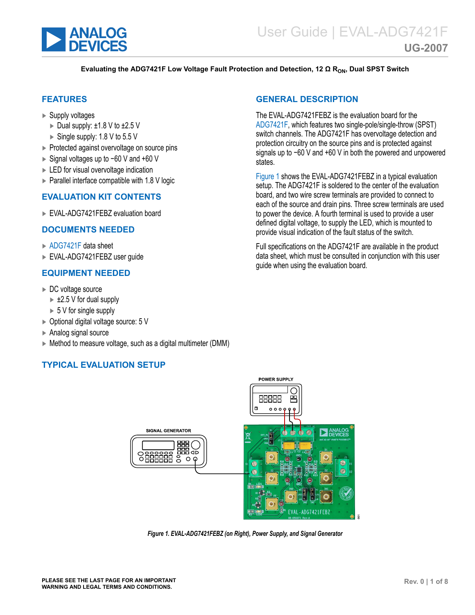<span id="page-0-0"></span>

#### **Evaluating the ADG7421F Low Voltage Fault Protection and Detection, 12 Ω RON, Dual SPST Switch**

## **FEATURES**

- ► Supply voltages
	- ► Dual supply: ±1.8 V to ±2.5 V
	- $\triangleright$  Single supply: 1.8 V to 5.5 V
- ► Protected against overvoltage on source pins
- ► Signal voltages up to −60 V and +60 V
- ► LED for visual overvoltage indication
- $\triangleright$  Parallel interface compatible with 1.8 V logic

## **EVALUATION KIT CONTENTS**

► EVAL-ADG7421FEBZ evaluation board

#### **DOCUMENTS NEEDED**

- ► [ADG7421F](https://www.analog.com/ADG7421F) data sheet
- ► EVAL-ADG7421FEBZ user guide

## **EQUIPMENT NEEDED**

- ► DC voltage source
	- $\blacktriangleright$  ±2.5 V for dual supply
	- $\triangleright$  5 V for single supply
- ► Optional digital voltage source: 5 V
- ► Analog signal source
- ► Method to measure voltage, such as a digital multimeter (DMM)

## **TYPICAL EVALUATION SETUP**

## **GENERAL DESCRIPTION**

The EVAL-ADG7421FEBZ is the evaluation board for the [ADG7421F](https://www.analog.com/ADG7421F), which features two single-pole/single-throw (SPST) switch channels. The ADG7421F has overvoltage detection and protection circuitry on the source pins and is protected against signals up to −60 V and +60 V in both the powered and unpowered states.

Figure 1 shows the EVAL-ADG7421FEBZ in a typical evaluation setup. The ADG7421F is soldered to the center of the evaluation board, and two wire screw terminals are provided to connect to each of the source and drain pins. Three screw terminals are used to power the device. A fourth terminal is used to provide a user defined digital voltage, to supply the LED, which is mounted to provide visual indication of the fault status of the switch.

Full specifications on the ADG7421F are available in the product data sheet, which must be consulted in conjunction with this user guide when using the evaluation board.



**POWER SUPPLY** 

*Figure 1. EVAL-ADG7421FEBZ (on Right), Power Supply, and Signal Generator*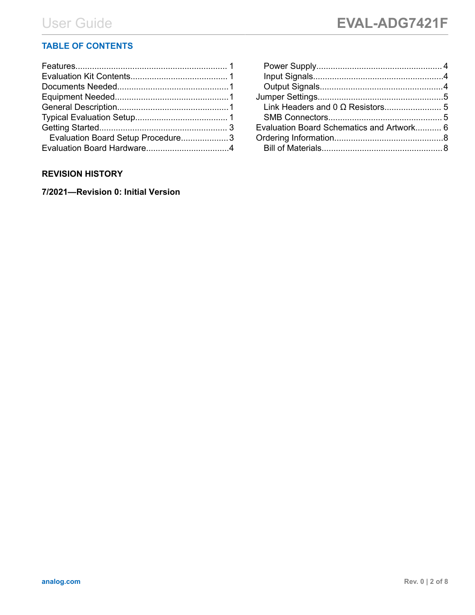# **TABLE OF CONTENTS**

| Evaluation Board Setup Procedure3 |  |
|-----------------------------------|--|
|                                   |  |
|                                   |  |

## **REVISION HISTORY**

**7/2021—Revision 0: Initial Version**

| Evaluation Board Schematics and Artwork 6 |  |
|-------------------------------------------|--|
|                                           |  |
|                                           |  |
|                                           |  |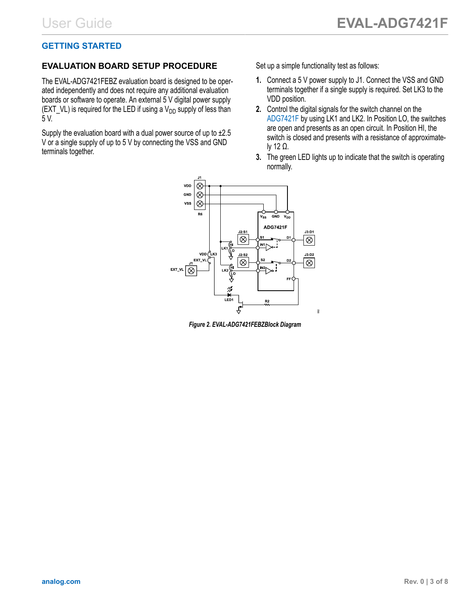# <span id="page-2-0"></span>**GETTING STARTED**

## **EVALUATION BOARD SETUP PROCEDURE**

The EVAL-ADG7421FEBZ evaluation board is designed to be operated independently and does not require any additional evaluation boards or software to operate. An external 5 V digital power supply (EXT\_VL) is required for the LED if using a  $V_{DD}$  supply of less than 5 V.

Supply the evaluation board with a dual power source of up to ±2.5 V or a single supply of up to 5 V by connecting the VSS and GND terminals together.

Set up a simple functionality test as follows:

- **1.** Connect a 5 V power supply to J1. Connect the VSS and GND terminals together if a single supply is required. Set LK3 to the VDD position.
- **2.** Control the digital signals for the switch channel on the [ADG7421F](https://www.analog.com/ADG7421F) by using LK1 and LK2. In Position LO, the switches are open and presents as an open circuit. In Position HI, the switch is closed and presents with a resistance of approximately 12 Ω.
- **3.** The green LED lights up to indicate that the switch is operating normally.



*Figure 2. EVAL-ADG7421FEBZBlock Diagram*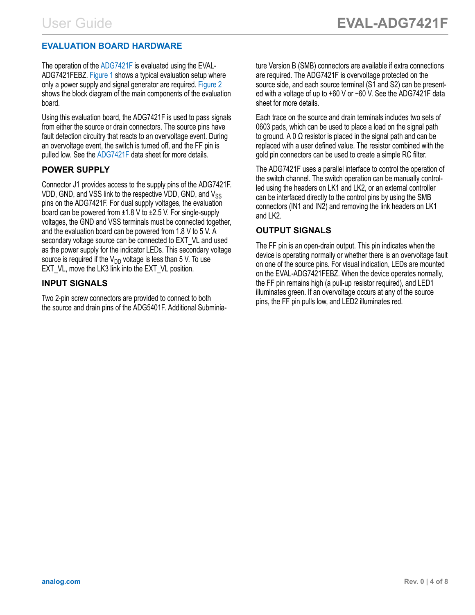# <span id="page-3-0"></span>**EVALUATION BOARD HARDWARE**

The operation of the [ADG7421F](https://www.analog.com/ADG7421F) is evaluated using the EVAL-ADG7421FEBZ. [Figure 1](#page-0-0) shows a typical evaluation setup where only a power supply and signal generator are required. [Figure 2](#page-2-0) shows the block diagram of the main components of the evaluation board.

Using this evaluation board, the ADG7421F is used to pass signals from either the source or drain connectors. The source pins have fault detection circuitry that reacts to an overvoltage event. During an overvoltage event, the switch is turned off, and the FF pin is pulled low. See the [ADG7421F](https://www.analog.com/ADG7421F) data sheet for more details.

## **POWER SUPPLY**

Connector J1 provides access to the supply pins of the ADG7421F. VDD, GND, and VSS link to the respective VDD, GND, and  $V_{SS}$ pins on the ADG7421F. For dual supply voltages, the evaluation board can be powered from ±1.8 V to ±2.5 V. For single-supply voltages, the GND and VSS terminals must be connected together, and the evaluation board can be powered from 1.8 V to 5 V. A secondary voltage source can be connected to EXT VL and used as the power supply for the indicator LEDs. This secondary voltage source is required if the  $V_{DD}$  voltage is less than 5 V. To use EXT VL, move the LK3 link into the EXT VL position.

## **INPUT SIGNALS**

Two 2-pin screw connectors are provided to connect to both the source and drain pins of the ADG5401F. Additional Subminiature Version B (SMB) connectors are available if extra connections are required. The ADG7421F is overvoltage protected on the source side, and each source terminal (S1 and S2) can be presented with a voltage of up to +60 V or −60 V. See the ADG7421F data sheet for more details.

Each trace on the source and drain terminals includes two sets of 0603 pads, which can be used to place a load on the signal path to ground. A 0  $Ω$  resistor is placed in the signal path and can be replaced with a user defined value. The resistor combined with the gold pin connectors can be used to create a simple RC filter.

The ADG7421F uses a parallel interface to control the operation of the switch channel. The switch operation can be manually controlled using the headers on LK1 and LK2, or an external controller can be interfaced directly to the control pins by using the SMB connectors (IN1 and IN2) and removing the link headers on LK1 and LK2.

# **OUTPUT SIGNALS**

The FF pin is an open-drain output. This pin indicates when the device is operating normally or whether there is an overvoltage fault on one of the source pins. For visual indication, LEDs are mounted on the EVAL-ADG7421FEBZ. When the device operates normally, the FF pin remains high (a pull-up resistor required), and LED1 illuminates green. If an overvoltage occurs at any of the source pins, the FF pin pulls low, and LED2 illuminates red.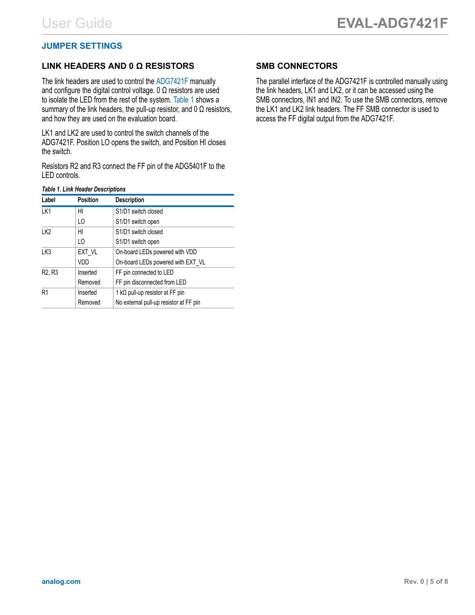## <span id="page-4-0"></span>**JUMPER SETTINGS**

## **LINK HEADERS AND 0 Ω RESISTORS**

The link headers are used to control the [ADG7421F](https://www.analog.com/ADG7421F) manually and configure the digital control voltage. 0  $\Omega$  resistors are used to isolate the LED from the rest of the system. Table 1 shows a summary of the link headers, the pull-up resistor, and 0  $\Omega$  resistors, and how they are used on the evaluation board.

LK1 and LK2 are used to control the switch channels of the ADG7421F. Position LO opens the switch, and Position HI closes the switch.

Resistors R2 and R3 connect the FF pin of the ADG5401F to the LED controls.

#### *Table 1. Link Header Descriptions*

| Label                           | <b>Position</b> | <b>Description</b>                           |
|---------------------------------|-----------------|----------------------------------------------|
| LK1                             | HI              | S <sub>1</sub> /D <sub>1</sub> switch closed |
|                                 | LO              | S1/D1 switch open                            |
| LK <sub>2</sub>                 | HI              | S <sub>1</sub> /D <sub>1</sub> switch closed |
|                                 | LO.             | S1/D1 switch open                            |
| LK3                             | EXT VL          | On-board LEDs powered with VDD               |
|                                 | VDD             | On-board LEDs powered with EXT VL            |
| R <sub>2</sub> , R <sub>3</sub> | Inserted        | FF pin connected to LED                      |
|                                 | Removed         | FF pin disconnected from LED                 |
| R <sub>1</sub>                  | Inserted        | 1 k $\Omega$ pull-up resistor at FF pin      |
|                                 | Removed         | No external pull-up resistor at FF pin       |

## **SMB CONNECTORS**

The parallel interface of the ADG7421F is controlled manually using the link headers, LK1 and LK2, or it can be accessed using the SMB connectors, IN1 and IN2. To use the SMB connectors, remove the LK1 and LK2 link headers. The FF SMB connector is used to access the FF digital output from the ADG7421F.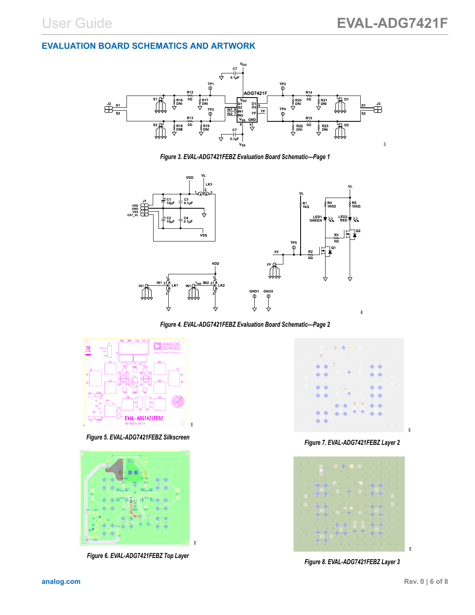## <span id="page-5-0"></span>**EVALUATION BOARD SCHEMATICS AND ARTWORK**



*Figure 3. EVAL-ADG7421FEBZ Evaluation Board Schematic—Page 1*



*Figure 4. EVAL-ADG7421FEBZ Evaluation Board Schematic—Page 2*



*Figure 5. EVAL-ADG7421FEBZ Silkscreen*



*Figure 6. EVAL-ADG7421FEBZ Top Layer*



*Figure 7. EVAL-ADG7421FEBZ Layer 2*



*Figure 8. EVAL-ADG7421FEBZ Layer 3*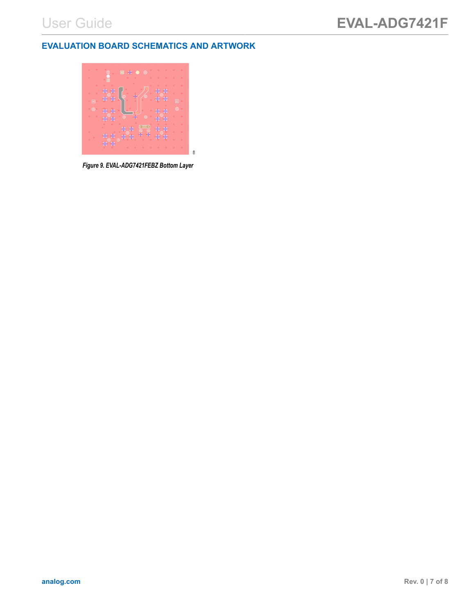## **EVALUATION BOARD SCHEMATICS AND ARTWORK**



*Figure 9. EVAL-ADG7421FEBZ Bottom Layer*